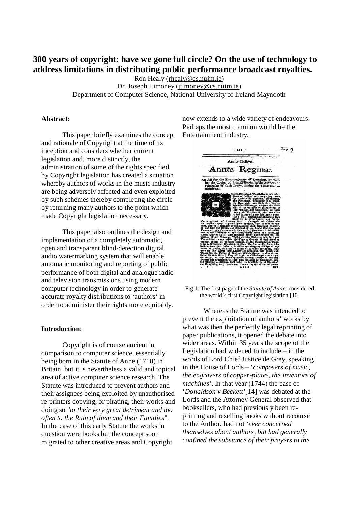# **300 years of copyright: have we gone full circle? On the use of technology to address limitations in distributing public performance broadcast royalties.**

Ron Healy (rhealy@cs.nuim.ie) Dr. Joseph Timoney (jtimoney@cs.nuim.ie) Department of Computer Science, National University of Ireland Maynooth

#### **Abstract:**

This paper briefly examines the concept and rationale of Copyright at the time of its inception and considers whether current legislation and, more distinctly, the administration of some of the rights specified by Copyright legislation has created a situation whereby authors of works in the music industry are being adversely affected and even exploited by such schemes thereby completing the circle by returning many authors to the point which made Copyright legislation necessary.

This paper also outlines the design and implementation of a completely automatic, open and transparent blind-detection digital audio watermarking system that will enable automatic monitoring and reporting of public performance of both digital and analogue radio and television transmissions using modern computer technology in order to generate accurate royalty distributions to 'authors' in order to administer their rights more equitably.

#### **Introduction**:

Copyright is of course ancient in comparison to computer science, essentially being born in the Statute of Anne (1710) in Britain, but it is nevertheless a valid and topical area of active computer science research. The Statute was introduced to prevent authors and their assignees being exploited by unauthorised re-printers copying, or pirating, their works and doing so "*to their very great detriment and too often to the Ruin of them and their Families*". In the case of this early Statute the works in question were books but the concept soon migrated to other creative areas and Copyright

now extends to a wide variety of endeavours. Perhaps the most common would be the Entertainment industry.



Fig 1: The first page of the *Statute of Anne:* considered the world's first Copyright legislation [10]

Whereas the Statute was intended to prevent the exploitation of authors' works by what was then the perfectly legal reprinting of paper publications, it opened the debate into wider areas. Within 35 years the scope of the Legislation had widened to include – in the words of Lord Chief Justice de Grey, speaking in the House of Lords – '*composers of music, the engravers of copper-plates, the inventors of machines'*. In that year (1744) the case of '*Donaldson v Beckett'*[14] was debated at the Lords and the Attorney General observed that booksellers, who had previously been reprinting and reselling books without recourse to the Author, had not *'ever concerned themselves about authors, but had generally confined the substance of their prayers to the*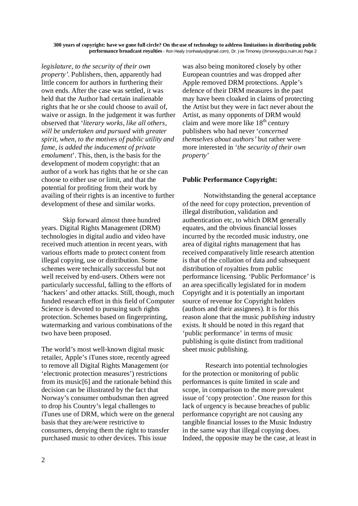*legislature, to the security of their own property'.* Publishers, then, apparently had little concern for authors in furthering their own ends. After the case was settled, it was held that the Author had certain inalienable rights that he or she could choose to avail of, waive or assign. In the judgement it was further observed that '*literary works, like all others, will be undertaken and pursued with greater spirit, when, to the motives of public utility and fame, is added the inducement of private emolument*'. This, then, is the basis for the development of modern copyright: that an author of a work has rights that he or she can choose to either use or limit, and that the potential for profiting from their work by availing of their rights is an incentive to further development of these and similar works.

Skip forward almost three hundred years. Digital Rights Management (DRM) technologies in digital audio and video have received much attention in recent years, with various efforts made to protect content from illegal copying, use or distribution. Some schemes were technically successful but not well received by end-users. Others were not particularly successful, falling to the efforts of 'hackers' and other attacks. Still, though, much funded research effort in this field of Computer Science is devoted to pursuing such rights protection. Schemes based on fingerprinting, watermarking and various combinations of the two have been proposed.

The world's most well-known digital music retailer, Apple's iTunes store, recently agreed to remove all Digital Rights Management (or 'electronic protection measures') restrictions from its music[6] and the rationale behind this decision can be illustrated by the fact that Norway's consumer ombudsman then agreed to drop his Country's legal challenges to iTunes use of DRM, which were on the general basis that they are/were restrictive to consumers, denying them the right to transfer purchased music to other devices. This issue

was also being monitored closely by other European countries and was dropped after Apple removed DRM protections. Apple's defence of their DRM measures in the past may have been cloaked in claims of protecting the Artist but they were in fact never about the Artist, as many opponents of DRM would claim and were more like  $18<sup>th</sup>$  century publishers who had never '*concerned themselves about authors'* but rather were more interested in '*the security of their own property*'

# **Public Performance Copyright:**

Notwithstanding the general acceptance of the need for copy protection, prevention of illegal distribution, validation and authentication etc, to which DRM generally equates, and the obvious financial losses incurred by the recorded music industry, one area of digital rights management that has received comparatively little research attention is that of the collation of data and subsequent distribution of royalties from public performance licensing. 'Public Performance' is an area specifically legislated for in modern Copyright and it is potentially an important source of revenue for Copyright holders (authors and their assignees). It is for this reason alone that the music *publishing* industry exists. It should be noted in this regard that 'public performance' in terms of music publishing is quite distinct from traditional sheet music publishing.

Research into potential technologies for the protection or monitoring of public performances is quite limited in scale and scope, in comparison to the more prevalent issue of 'copy protection'. One reason for this lack of urgency is because breaches of public performance copyright are not causing any tangible financial losses to the Music Industry in the same way that illegal copying does. Indeed, the opposite may be the case, at least in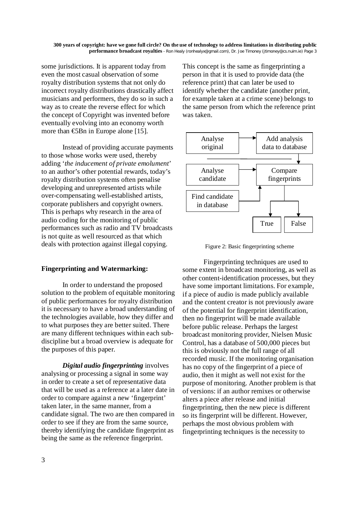some jurisdictions. It is apparent today from even the most casual observation of some royalty distribution systems that not only do incorrect royalty distributions drastically affect musicians and performers, they do so in such a way as to create the reverse effect for which the concept of Copyright was invented before eventually evolving into an economy worth more than  $\bigoplus$ Bn in Europe alone [15].

Instead of providing accurate payments to those whose works were used, thereby adding '*the inducement of private emolument*' to an author's other potential rewards, today's royalty distribution systems often penalise developing and unrepresented artists while over-compensating well-established artists, corporate publishers and copyright owners. This is perhaps why research in the area of audio coding for the monitoring of public performances such as radio and TV broadcasts is not quite as well resourced as that which deals with protection against illegal copying.

# **Fingerprinting and Watermarking:**

In order to understand the proposed solution to the problem of equitable monitoring of public performances for royalty distribution it is necessary to have a broad understanding of the technologies available, how they differ and to what purposes they are better suited. There are many different techniques within each subdiscipline but a broad overview is adequate for the purposes of this paper.

*Digital audio fingerprinting* involves analysing or processing a signal in some way in order to create a set of representative data that will be used as a reference at a later date in order to compare against a new 'fingerprint' taken later, in the same manner, from a candidate signal. The two are then compared in order to see if they are from the same source, thereby identifying the candidate fingerprint as being the same as the reference fingerprint.

This concept is the same as fingerprinting a person in that it is used to provide data (the reference print) that can later be used to identify whether the candidate (another print, for example taken at a crime scene) belongs to the same person from which the reference print was taken.



Figure 2: Basic fingerprinting scheme

Fingerprinting techniques are used to some extent in broadcast monitoring, as well as other content-identification processes, but they have some important limitations. For example, if a piece of audio is made publicly available and the content creator is not previously aware of the potential for fingerprint identification, then no fingerprint will be made available before public release. Perhaps the largest broadcast monitoring provider, Nielsen Music Control, has a database of 500,000 pieces but this is obviously not the full range of all recorded music. If the monitoring organisation has no copy of the fingerprint of a piece of audio, then it might as well not exist for the purpose of monitoring. Another problem is that of versions: if an author remixes or otherwise alters a piece after release and initial fingerprinting, then the new piece is different so its fingerprint will be different. However, perhaps the most obvious problem with fingerprinting techniques is the necessity to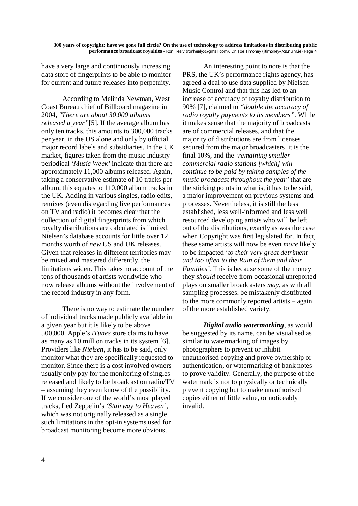have a very large and continuously increasing data store of fingerprints to be able to monitor for current and future releases into perpetuity.

According to Melinda Newman, West Coast Bureau chief of Billboard magazine in 2004, *"There are about 30,000 albums released a year"*[5]. If the average album has only ten tracks, this amounts to 300,000 tracks per year, in the US alone and only by official major record labels and subsidiaries. In the UK market, figures taken from the music industry periodical '*Music Week'* indicate that there are approximately 11,000 albums released. Again, taking a conservative estimate of 10 tracks per album, this equates to 110,000 album tracks in the UK. Adding in various singles, radio edits, remixes (even disregarding live performances on TV and radio) it becomes clear that the collection of digital fingerprints from which royalty distributions are calculated is limited. Nielsen's database accounts for little over 12 months worth of *new* US and UK releases. Given that releases in different territories may be mixed and mastered differently, the limitations widen. This takes no account of the tens of thousands of artists worldwide who now release albums without the involvement of the record industry in any form.

There is no way to estimate the number of individual tracks made publicly available in a given year but it is likely to be above 500,000. Apple's *iTunes* store claims to have as many as 10 million tracks in its system [6]. Providers like *Nielsen*, it has to be said, only monitor what they are specifically requested to monitor. Since there is a cost involved owners usually only pay for the monitoring of singles released and likely to be broadcast on radio/TV – assuming they even know of the possibility. If we consider one of the world's most played tracks, Led Zeppelin's *'Stairway to Heaven'*, which was not originally released as a single, such limitations in the opt-in systems used for broadcast monitoring become more obvious.

An interesting point to note is that the PRS, the UK's performance rights agency, has agreed a deal to use data supplied by Nielsen Music Control and that this has led to an increase of accuracy of royalty distribution to 90% [7], claimed to *"double the accuracy of radio royalty payments to its members".* While it makes sense that the majority of broadcasts are of commercial releases, and that the majority of distributions are from licenses secured from the major broadcasters, it is the final 10%, and the *'remaining smaller commercial radio stations [which] will continue to be paid by taking samples of the music broadcast throughout the year'* that are the sticking points in what is, it has to be said, a major improvement on previous systems and processes. Nevertheless, it is still the less established, less well-informed and less well resourced developing artists who will be left out of the distributions, exactly as was the case when Copyright was first legislated for. In fact, these same artists will now be even *more* likely to be impacted '*to their very great detriment and too often to the Ruin of them and their Families'.* This is because some of the money they *should* receive from occasional unreported plays on smaller broadcasters *may*, as with all sampling processes, be mistakenly distributed to the more commonly reported artists – again of the more established variety.

*Digital audio watermarking*, as would be suggested by its name, can be visualised as similar to watermarking of images by photographers to prevent or inhibit unauthorised copying and prove ownership or authentication, or watermarking of bank notes to prove validity. Generally, the purpose of the watermark is not to physically or technically prevent copying but to make unauthorised copies either of little value, or noticeably invalid.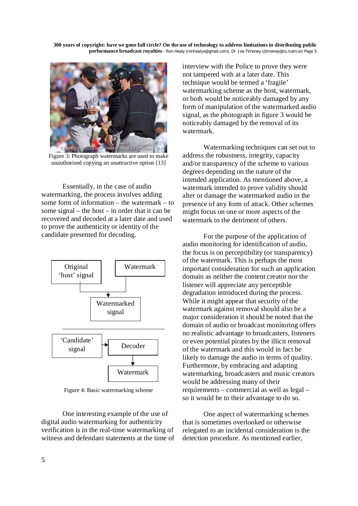

Figure 3: Photograph watermarks are used to make unauthorised copying an unattractive option [13]

Essentially, in the case of audio watermarking, the process involves adding some form of information – the watermark – to some signal – the host – in order that it can be recovered and decoded at a later date and used to prove the authenticity or identity of the candidate presented for decoding.



Figure 4: Basic watermarking scheme

One interesting example of the use of digital audio watermarking for authenticity verification is in the real-time watermarking of witness and defendant statements at the time of interview with the Police to prove they were not tampered with at a later date. This technique would be termed a 'fragile' watermarking scheme as the host, watermark, or both would be noticeably damaged by any form of manipulation of the watermarked audio signal, as the photograph in figure 3 would be noticeably damaged by the removal of its watermark.

Watermarking techniques can set out to address the robustness, integrity, capacity and/or transparency of the scheme to various degrees depending on the nature of the intended application. As mentioned above, a watermark intended to prove validity should alter or damage the watermarked audio in the presence of any form of attack. Other schemes might focus on one or more aspects of the watermark to the detriment of others.

For the purpose of the application of audio monitoring for identification of audio, the focus is on perceptibility (or transparency) of the watermark. This is perhaps the most important consideration for such an application domain as neither the content creator nor the listener will appreciate any perceptible degradation introduced during the process. While it might appear that security of the watermark against removal should also be a major consideration it should be noted that the domain of audio or broadcast monitoring offers no realistic advantage to broadcasters, listeners or even potential pirates by the illicit removal of the watermark and this would in fact be likely to damage the audio in terms of quality. Furthermore, by embracing and adapting watermarking, broadcasters and music creators would be addressing many of their requirements – commercial as well as legal – so it would be to their advantage to do so.

One aspect of watermarking schemes that is sometimes overlooked or otherwise relegated to an incidental consideration is the detection procedure. As mentioned earlier,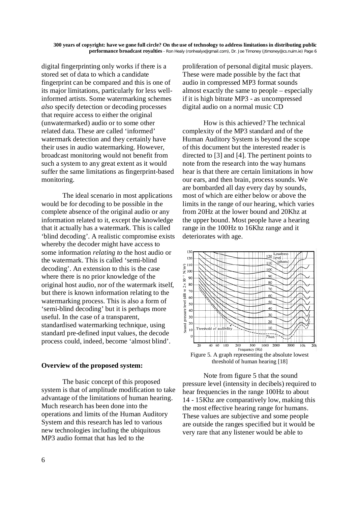digital fingerprinting only works if there is a stored set of data to which a candidate fingerprint can be compared and this is one of its major limitations, particularly for less wellinformed artists. Some watermarking schemes *also* specify detection or decoding processes that require access to either the original (unwatermarked) audio or to some other related data. These are called 'informed' watermark detection and they certainly have their uses in audio watermarking. However, broadcast monitoring would not benefit from such a system to any great extent as it would suffer the same limitations as fingerprint-based monitoring.

The ideal scenario in most applications would be for decoding to be possible in the complete absence of the original audio or any information related to it, except the knowledge that it actually has a watermark. This is called 'blind decoding'. A realistic compromise exists whereby the decoder might have access to some information *relating to* the host audio or the watermark. This is called 'semi-blind decoding'. An extension to this is the case where there is no prior knowledge of the original host audio, nor of the watermark itself, but there is known information relating to the watermarking process. This is also a form of 'semi-blind decoding' but it is perhaps more useful. In the case of a transparent, standardised watermarking technique, using standard pre-defined input values, the decode process could, indeed, become 'almost blind'.

# **Overview of the proposed system:**

The basic concept of this proposed system is that of amplitude modification to take advantage of the limitations of human hearing. Much research has been done into the operations and limits of the Human Auditory System and this research has led to various new technologies including the ubiquitous MP3 audio format that has led to the

proliferation of personal digital music players. These were made possible by the fact that audio in compressed MP3 format sounds almost exactly the same to people – especially if it is high bitrate MP3 - as uncompressed digital audio on a normal music CD

How is this achieved? The technical complexity of the MP3 standard and of the Human Auditory System is beyond the scope of this document but the interested reader is directed to [3] and [4]. The pertinent points to note from the research into the way humans hear is that there are certain limitations in how our ears, and then brain, process sounds. We are bombarded all day every day by sounds, most of which are either below or above the limits in the range of our hearing, which varies from 20Hz at the lower bound and 20Khz at the upper bound. Most people have a hearing range in the 100Hz to 16Khz range and it deteriorates with age.



threshold of human hearing [18]

Note from figure 5 that the sound pressure level (intensity in decibels) required to hear frequencies in the range 100Hz to about 14 - 15Khz are comparatively low, making this the most effective hearing range for humans. These values are subjective and some people are outside the ranges specified but it would be very rare that any listener would be able to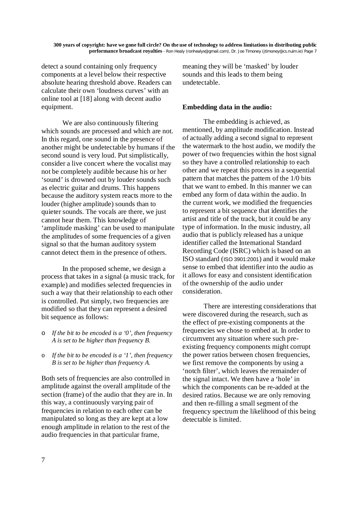detect a sound containing only frequency components at a level below their respective absolute hearing threshold above. Readers can calculate their own 'loudness curves' with an online tool at [18] along with decent audio equipment.

We are also continuously filtering which sounds are processed and which are not. In this regard, one sound in the presence of another might be undetectable by humans if the second sound is very loud. Put simplistically, consider a live concert where the vocalist may not be completely audible because his or her 'sound' is drowned out by louder sounds such as electric guitar and drums. This happens because the auditory system reacts more to the louder (higher amplitude) sounds than to quieter sounds. The vocals are there, we just cannot hear them. This knowledge of 'amplitude masking' can be used to manipulate the amplitudes of some frequencies of a given signal so that the human auditory system cannot detect them in the presence of others.

In the proposed scheme, we design a process that takes in a signal (a music track, for example) and modifies selected frequencies in such a way that their relationship to each other is controlled. Put simply, two frequencies are modified so that they can represent a desired bit sequence as follows:

- o *If the bit to be encoded is a '0', then frequency A is set to be higher than frequency B.*
- o *If the bit to be encoded is a '1', then frequency B is set to be higher than frequency A.*

Both sets of frequencies are also controlled in amplitude against the overall amplitude of the section (frame) of the audio that they are in. In this way, a continuously varying pair of frequencies in relation to each other can be manipulated so long as they are kept at a low enough amplitude in relation to the rest of the audio frequencies in that particular frame,

meaning they will be 'masked' by louder sounds and this leads to them being undetectable.

### **Embedding data in the audio:**

The embedding is achieved, as mentioned, by amplitude modification. Instead of actually adding a second signal to represent the watermark to the host audio, we modify the power of two frequencies within the host signal so they have a controlled relationship to each other and we repeat this process in a sequential pattern that matches the pattern of the 1/0 bits that we want to embed. In this manner we can embed any form of data within the audio. In the current work, we modified the frequencies to represent a bit sequence that identifies the artist and title of the track, but it could be any type of information. In the music industry, all audio that is publicly released has a unique identifier called the International Standard Recording Code (ISRC) which is based on an ISO standard (ISO 3901:2001) and it would make sense to embed that identifier into the audio as it allows for easy and consistent identification of the ownership of the audio under consideration.

There are interesting considerations that were discovered during the research, such as the effect of pre-existing components at the frequencies we chose to embed at. In order to circumvent any situation where such preexisting frequency components might corrupt the power ratios between chosen frequencies, we first remove the components by using a 'notch filter', which leaves the remainder of the signal intact. We then have a 'hole' in which the components can be re-added at the desired ratios. Because we are only removing and then re-filling a small segment of the frequency spectrum the likelihood of this being detectable is limited.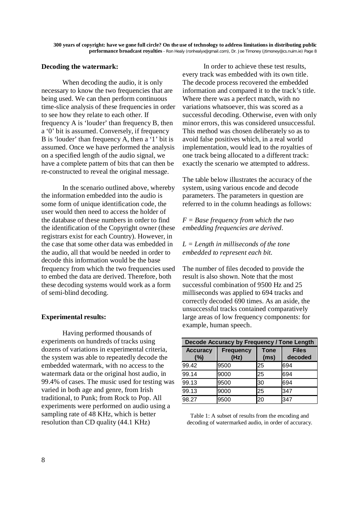### **Decoding the watermark:**

When decoding the audio, it is only necessary to know the two frequencies that are being used. We can then perform continuous time-slice analysis of these frequencies in order to see how they relate to each other. If frequency A is 'louder' than frequency B, then a '0' bit is assumed. Conversely, if frequency B is 'louder' than frequency A, then a '1' bit is assumed. Once we have performed the analysis on a specified length of the audio signal, we have a complete pattern of bits that can then be re-constructed to reveal the original message.

In the scenario outlined above, whereby the information embedded into the audio is some form of unique identification code, the user would then need to access the holder of the database of these numbers in order to find the identification of the Copyright owner (these registrars exist for each Country). However, in the case that some other data was embedded in the audio, all that would be needed in order to decode this information would be the base frequency from which the two frequencies used to embed the data are derived. Therefore, both these decoding systems would work as a form of semi-blind decoding.

# **Experimental results:**

Having performed thousands of experiments on hundreds of tracks using dozens of variations in experimental criteria, the system was able to repeatedly decode the embedded watermark, with no access to the watermark data or the original host audio, in 99.4% of cases. The music used for testing was varied in both age and genre, from Irish traditional, to Punk; from Rock to Pop. All experiments were performed on audio using a sampling rate of 48 KHz, which is better resolution than CD quality (44.1 KHz)

In order to achieve these test results, every track was embedded with its own title. The decode process recovered the embedded information and compared it to the track's title. Where there was a perfect match, with no variations whatsoever, this was scored as a successful decoding. Otherwise, even with only minor errors, this was considered unsuccessful. This method was chosen deliberately so as to avoid false positives which, in a real world implementation, would lead to the royalties of one track being allocated to a different track: exactly the scenario we attempted to address.

The table below illustrates the accuracy of the system, using various encode and decode parameters. The parameters in question are referred to in the column headings as follows:

*F = Base frequency from which the two embedding frequencies are derived.*

*L = Length in milliseconds of the tone embedded to represent each bit.*

The number of files decoded to provide the result is also shown. Note that the most successful combination of 9500 Hz and 25 milliseconds was applied to 694 tracks and correctly decoded 690 times. As an aside, the unsuccessful tracks contained comparatively large areas of low frequency components: for example, human speech.

| Decode Accuracy by Frequency / Tone Length |                          |                     |                         |
|--------------------------------------------|--------------------------|---------------------|-------------------------|
| <b>Accuracy</b><br>(%)                     | <b>Frequency</b><br>(Hz) | <b>Tone</b><br>(ms) | <b>Files</b><br>decoded |
| 99.42                                      | 9500                     | 25                  | 694                     |
| 99.14                                      | 9000                     | 25                  | 694                     |
| 99.13                                      | 9500                     | 30                  | 694                     |
| 99.13                                      | 9000                     | 25                  | 347                     |
| 98.27                                      | 9500                     | 20                  | 347                     |

Table 1: A subset of results from the encoding and decoding of watermarked audio, in order of accuracy.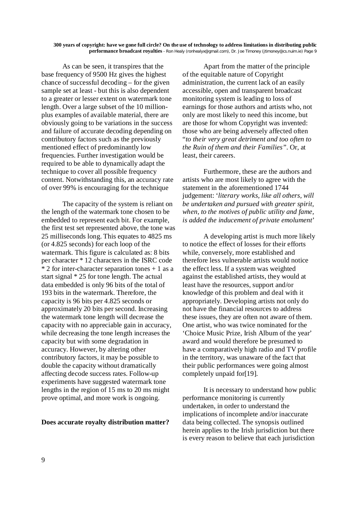As can be seen, it transpires that the base frequency of 9500 Hz gives the highest chance of successful decoding – for the given sample set at least - but this is also dependent to a greater or lesser extent on watermark tone length. Over a large subset of the 10 millionplus examples of available material, there are obviously going to be variations in the success and failure of accurate decoding depending on contributory factors such as the previously mentioned effect of predominantly low frequencies. Further investigation would be required to be able to dynamically adapt the technique to cover all possible frequency content. Notwithstanding this, an accuracy rate of over 99% is encouraging for the technique

The capacity of the system is reliant on the length of the watermark tone chosen to be embedded to represent each bit. For example, the first test set represented above, the tone was 25 milliseconds long. This equates to 4825 ms (or 4.825 seconds) for each loop of the watermark. This figure is calculated as: 8 bits per character \* 12 characters in the ISRC code  $*$  2 for inter-character separation tones  $+$  1 as a start signal \* 25 for tone length. The actual data embedded is only 96 bits of the total of 193 bits in the watermark. Therefore, the capacity is 96 bits per 4.825 seconds or approximately 20 bits per second. Increasing the watermark tone length will decrease the capacity with no appreciable gain in accuracy, while decreasing the tone length increases the capacity but with some degradation in accuracy. However, by altering other contributory factors, it may be possible to double the capacity without dramatically affecting decode success rates. Follow-up experiments have suggested watermark tone lengths in the region of 15 ms to 20 ms might prove optimal, and more work is ongoing.

### **Does accurate royalty distribution matter?**

Apart from the matter of the principle of the equitable nature of Copyright administration, the current lack of an easily accessible, open and transparent broadcast monitoring system is leading to loss of earnings for those authors and artists who, not only are most likely to need this income, but are those for whom Copyright was invented: those who are being adversely affected often "*to their very great detriment and too often to the Ruin of them and their Families".* Or, at least, their careers.

Furthermore, these are the authors and artists who are most likely to agree with the statement in the aforementioned 1744 judgement: '*literary works, like all others, will be undertaken and pursued with greater spirit, when, to the motives of public utility and fame, is added the inducement of private emolument*'

A developing artist is much more likely to notice the effect of losses for their efforts while, conversely, more established and therefore less vulnerable artists would notice the effect less. If a system was weighted against the established artists, they would at least have the resources, support and/or knowledge of this problem and deal with it appropriately. Developing artists not only do not have the financial resources to address these issues, they are often not aware of them. One artist, who was twice nominated for the 'Choice Music Prize, Irish Album of the year' award and would therefore be presumed to have a comparatively high radio and TV profile in the territory, was unaware of the fact that their public performances were going almost completely unpaid for[19].

It is necessary to understand how public performance monitoring is currently undertaken, in order to understand the implications of incomplete and/or inaccurate data being collected. The synopsis outlined herein applies to the Irish jurisdiction but there is every reason to believe that each jurisdiction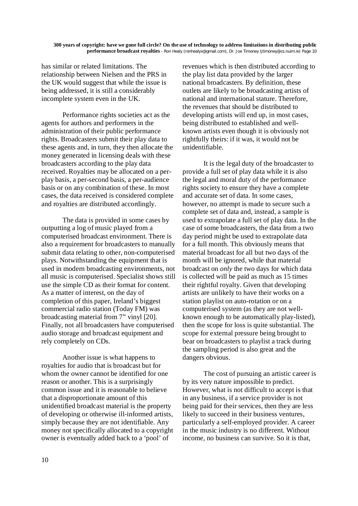has similar or related limitations. The relationship between Nielsen and the PRS in the UK would suggest that while the issue is being addressed, it is still a considerably incomplete system even in the UK.

Performance rights societies act as the agents for authors and performers in the administration of their public performance rights. Broadcasters submit their play data to these agents and, in turn, they then allocate the money generated in licensing deals with these broadcasters according to the play data received. Royalties may be allocated on a perplay basis, a per-second basis, a per-audience basis or on any combination of these. In most cases, the data received is considered complete and royalties are distributed accordingly.

The data is provided in some cases by outputting a log of music played from a computerised broadcast environment. There is also a requirement for broadcasters to manually submit data relating to other, non-computerised plays. Notwithstanding the equipment that is used in modern broadcasting environments, not all music is computerised. Specialist shows still use the simple CD as their format for content. As a matter of interest, on the day of completion of this paper, Ireland's biggest commercial radio station (Today FM) was broadcasting material from 7" vinyl [20]. Finally, not all broadcasters have computerised audio storage and broadcast equipment and rely completely on CDs.

Another issue is what happens to royalties for audio that is broadcast but for whom the owner cannot be identified for one reason or another. This is a surprisingly common issue and it is reasonable to believe that a disproportionate amount of this unidentified broadcast material is the property of developing or otherwise ill-informed artists, simply because they are not identifiable. Any money not specifically allocated to a copyright owner is eventually added back to a 'pool' of

revenues which is then distributed according to the play list data provided by the larger national broadcasters. By definition, these outlets are likely to be broadcasting artists of national and international stature. Therefore, the revenues that should be distributed to developing artists will end up, in most cases, being distributed to established and wellknown artists even though it is obviously not rightfully theirs: if it was, it would not be unidentifiable.

It is the legal duty of the broadcaster to provide a full set of play data while it is also the legal and moral duty of the performance rights society to ensure they have a complete and accurate set of data. In some cases, however, no attempt is made to secure such a complete set of data and, instead, a sample is used to extrapolate a full set of play data. In the case of some broadcasters, the data from a two day period might be used to extrapolate data for a full month. This obviously means that material broadcast for all but two days of the month will be ignored, while that material broadcast on *only* the two days for which data is collected will be paid as much as 15 times their rightful royalty. Given that developing artists are unlikely to have their works on a station playlist on auto-rotation or on a computerised system (as they are not wellknown enough to be automatically play-listed), then the scope for loss is quite substantial. The scope for external pressure being brought to bear on broadcasters to playlist a track during the sampling period is also great and the dangers obvious.

The cost of pursuing an artistic career is by its very nature impossible to predict. However, what is not difficult to accept is that in any business, if a service provider is not being paid for their services, then they are less likely to succeed in their business ventures, particularly a self-employed provider. A career in the music industry is no different. Without income, no business can survive. So it is that,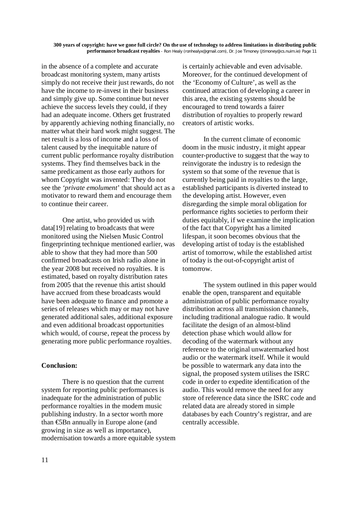in the absence of a complete and accurate broadcast monitoring system, many artists simply do not receive their just rewards, do not have the income to re-invest in their business and simply give up. Some continue but never achieve the success levels they could, if they had an adequate income. Others get frustrated by apparently achieving nothing financially, no matter what their hard work might suggest. The net result is a loss of income and a loss of talent caused by the inequitable nature of current public performance royalty distribution systems. They find themselves back in the same predicament as those early authors for whom Copyright was invented: They do not see the *'private emolument*' that should act as a motivator to reward them and encourage them to continue their career.

One artist, who provided us with data[19] relating to broadcasts that were monitored using the Nielsen Music Control fingerprinting technique mentioned earlier, was able to show that they had more than 500 confirmed broadcasts on Irish radio alone in the year 2008 but received no royalties. It is estimated, based on royalty distribution rates from 2005 that the revenue this artist should have accrued from these broadcasts would have been adequate to finance and promote a series of releases which may or may not have generated additional sales, additional exposure and even additional broadcast opportunities which would, of course, repeat the process by generating more public performance royalties.

# **Conclusion:**

There is no question that the current system for reporting public performances is inadequate for the administration of public performance royalties in the modern music publishing industry. In a sector worth more than €5Bn annually in Europe alone (and growing in size as well as importance), modernisation towards a more equitable system is certainly achievable and even advisable. Moreover, for the continued development of the 'Economy of Culture', as well as the continued attraction of developing a career in this area, the existing systems should be encouraged to trend towards a fairer distribution of royalties to properly reward creators of artistic works.

In the current climate of economic doom in the music industry, it might appear counter-productive to suggest that the way to reinvigorate the industry is to redesign the system so that some of the revenue that is currently being paid in royalties to the large, established participants is diverted instead to the developing artist. However, even disregarding the simple moral obligation for performance rights societies to perform their duties equitably, if we examine the implication of the fact that Copyright has a limited lifespan, it soon becomes obvious that the developing artist of today is the established artist of tomorrow, while the established artist of today is the out-of-copyright artist of tomorrow.

The system outlined in this paper would enable the open, transparent and equitable administration of public performance royalty distribution across all transmission channels, including traditional analogue radio. It would facilitate the design of an almost-blind detection phase which would allow for decoding of the watermark without any reference to the original unwatermarked host audio or the watermark itself. While it would be possible to watermark any data into the signal, the proposed system utilises the ISRC code in order to expedite identification of the audio. This would remove the need for any store of reference data since the ISRC code and related data are already stored in simple databases by each Country's registrar, and are centrally accessible.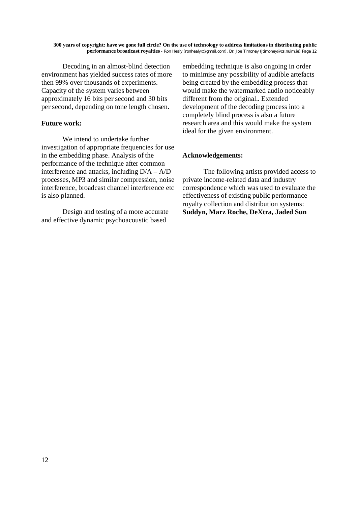Decoding in an almost-blind detection environment has yielded success rates of more then 99% over thousands of experiments. Capacity of the system varies between approximately 16 bits per second and 30 bits per second, depending on tone length chosen.

### **Future work:**

We intend to undertake further investigation of appropriate frequencies for use in the embedding phase. Analysis of the performance of the technique after common interference and attacks, including D/A – A/D processes, MP3 and similar compression, noise interference, broadcast channel interference etc is also planned.

Design and testing of a more accurate and effective dynamic psychoacoustic based

embedding technique is also ongoing in order to minimise any possibility of audible artefacts being created by the embedding process that would make the watermarked audio noticeably different from the original.. Extended development of the decoding process into a completely blind process is also a future research area and this would make the system ideal for the given environment.

### **Acknowledgements:**

The following artists provided access to private income-related data and industry correspondence which was used to evaluate the effectiveness of existing public performance royalty collection and distribution systems: **Suddyn, Marz Roche, DeXtra, Jaded Sun**